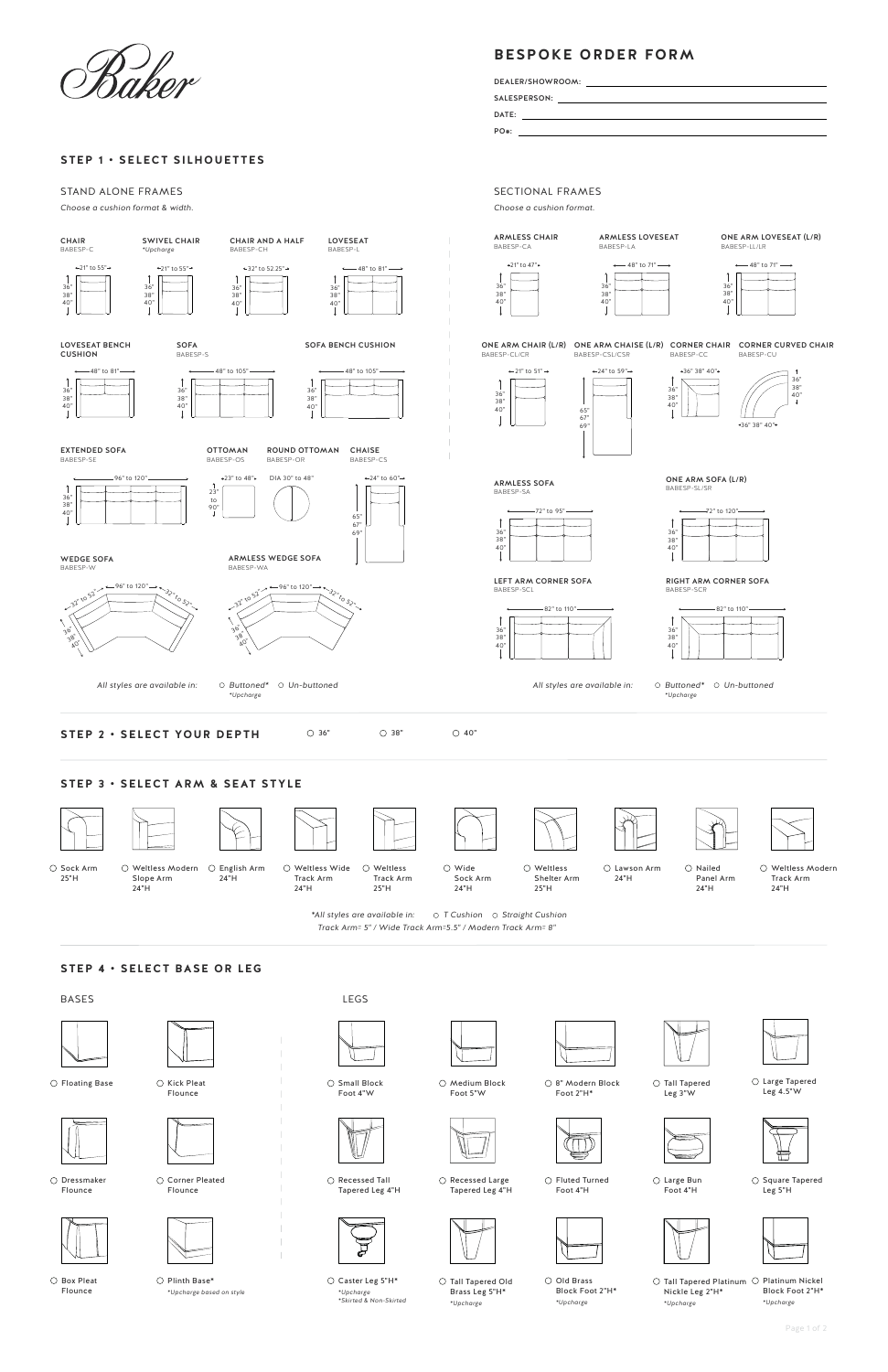# **BESPOKE ORDER FORM**



#### **STEP 1 • SELECT SILHOUETTES**

 $\bigcirc$  Corner Pleated Flounce



○ Box Pleat Flounce

 $\bigcirc$  Plinth Base\* *\*Upcharge based on style*







 $\bigcirc$  Fluted Turned

 $\bigcirc$  Kick Pleat Flounce

 $\bigcirc$  Floating Base



 $\bigcirc$  Dressmaker Flounce

SALESPERSON:

 $\bigcirc$  Tall Tapered Leg 3"W

 $PO#:$ DATE:

DEALER/SHOWROOM:



 $\bigcirc$  Recessed Tall Tapered Leg 4"H



 $\bigcirc$  Square Tapered Leg 5"H



 $\bigcirc$  Medium Block Foot 5"W





 $\bigcirc$  Large Tapered Leg 4.5"W

 $\bigcirc$  Small Block Foot 4"W

> O Old Brass Block Foot 2"H\* *\*Upcharge*



 $\bigcirc$  Caster Leg 5"H\* *\*Upcharge \*Skirted & Non-Skirted*

Tall Tapered Platinum  $\,\bigcirc\,$  Platinum Nickel Block Foot 2"H\* *\*Upcharge* Nickle Leg 2"H\* *\*Upcharge*



 $\bigcirc$  Sock Arm 25"H

## **STEP 4 • SELECT BASE OR LEG**









8" Modern Block Foot 2"H\*

Large Bun



Foot 4"H

#### STAND ALONE FRAMES

*Choose a cushion format & width.*

SECTIONAL FRAMES

Tall Tapered Old Brass Leg 5"H\* *\*Upcharge*

Weltless Modern English Arm

Slope Arm 24"H

*Track Arm= 5" / Wide Track Arm=5.5" / Modern Track Arm= 8" \*All styles are available in: T Cushion Straight Cushion*

24"H

Weltless Wide Track Arm 24"H

Weltless Track Arm 25"H



Wide Sock Arm 24"H

BASES LEGS

Weltless Shelter Arm 25"H

Lawson Arm 24"H  $\bigcirc$  Nailed Panel Arm 24"H

#### Weltless Modern Track Arm 24"H